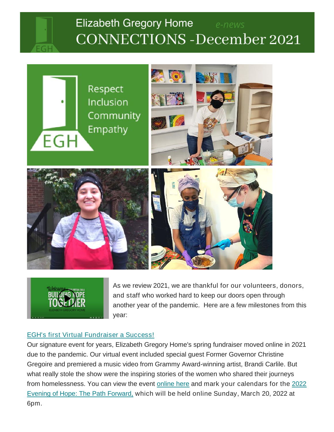



BUILDING K

As we review 2021, we are thankful for our volunteers, donors, and staff who worked hard to keep our doors open through another year of the pandemic. Here are a few milestones from this year:

## [EGH's first Virtual Fundraiser a Success!](https://www.youtube.com/watch?v=ZyninQP5HFM)

Our signature event for years, Elizabeth Gregory Home's spring fundraiser moved online in 2021 due to the pandemic. Our virtual event included special guest Former Governor Christine Gregoire and premiered a music video from Grammy Award-winning artist, Brandi Carlile. But what really stole the show were the inspiring stories of the women who shared their journeys from homelessness. You can view the event [online here](https://www.youtube.com/watch?v=ZyninQP5HFM) and *mark your calendars for the [2022](https://eghseattle.org/evening-of-light/)  [Evening of Hope: The Path Forward,](https://eghseattle.org/evening-of-light/) which will be held online Sunday, March 20, 2022 at 6pm.*